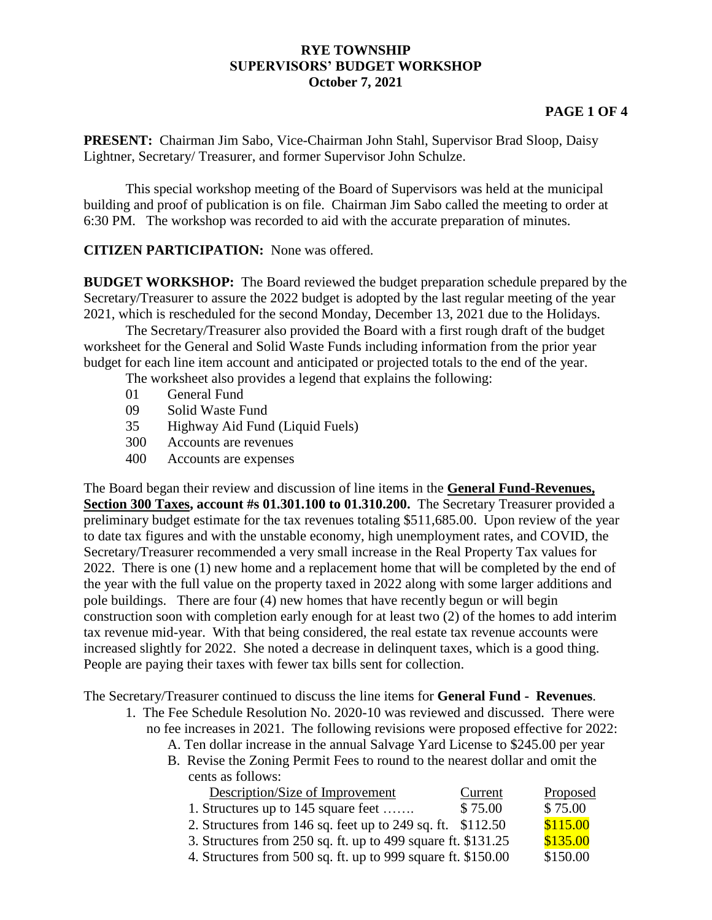## **RYE TOWNSHIP SUPERVISORS' BUDGET WORKSHOP October 7, 2021**

## **PAGE 1 OF 4**

**PRESENT:** Chairman Jim Sabo, Vice-Chairman John Stahl, Supervisor Brad Sloop, Daisy Lightner, Secretary/ Treasurer, and former Supervisor John Schulze.

This special workshop meeting of the Board of Supervisors was held at the municipal building and proof of publication is on file. Chairman Jim Sabo called the meeting to order at 6:30 PM. The workshop was recorded to aid with the accurate preparation of minutes.

**CITIZEN PARTICIPATION:** None was offered.

**BUDGET WORKSHOP:** The Board reviewed the budget preparation schedule prepared by the Secretary/Treasurer to assure the 2022 budget is adopted by the last regular meeting of the year 2021, which is rescheduled for the second Monday, December 13, 2021 due to the Holidays.

The Secretary/Treasurer also provided the Board with a first rough draft of the budget worksheet for the General and Solid Waste Funds including information from the prior year budget for each line item account and anticipated or projected totals to the end of the year.

- The worksheet also provides a legend that explains the following:
- 01 General Fund
- 09 Solid Waste Fund
- 35 Highway Aid Fund (Liquid Fuels)
- 300 Accounts are revenues
- 400 Accounts are expenses

The Board began their review and discussion of line items in the **General Fund-Revenues, Section 300 Taxes, account #s 01.301.100 to 01.310.200.** The Secretary Treasurer provided a preliminary budget estimate for the tax revenues totaling \$511,685.00. Upon review of the year to date tax figures and with the unstable economy, high unemployment rates, and COVID, the Secretary/Treasurer recommended a very small increase in the Real Property Tax values for 2022. There is one (1) new home and a replacement home that will be completed by the end of the year with the full value on the property taxed in 2022 along with some larger additions and pole buildings. There are four (4) new homes that have recently begun or will begin construction soon with completion early enough for at least two (2) of the homes to add interim tax revenue mid-year. With that being considered, the real estate tax revenue accounts were increased slightly for 2022. She noted a decrease in delinquent taxes, which is a good thing. People are paying their taxes with fewer tax bills sent for collection.

The Secretary/Treasurer continued to discuss the line items for **General Fund - Revenues**.

- 1. The Fee Schedule Resolution No. 2020-10 was reviewed and discussed. There were no fee increases in 2021. The following revisions were proposed effective for 2022:
	- A. Ten dollar increase in the annual Salvage Yard License to \$245.00 per year
	- B. Revise the Zoning Permit Fees to round to the nearest dollar and omit the cents as follows:

| Description/Size of Improvement                              | Current | Proposed |
|--------------------------------------------------------------|---------|----------|
| 1. Structures up to $145$ square feet                        | \$75.00 | \$75.00  |
| 2. Structures from 146 sq. feet up to 249 sq. ft. $$112.50$  |         | \$115.00 |
| 3. Structures from 250 sq. ft. up to 499 square ft. \$131.25 |         | \$135.00 |
| 4. Structures from 500 sq. ft. up to 999 square ft. \$150.00 |         | \$150.00 |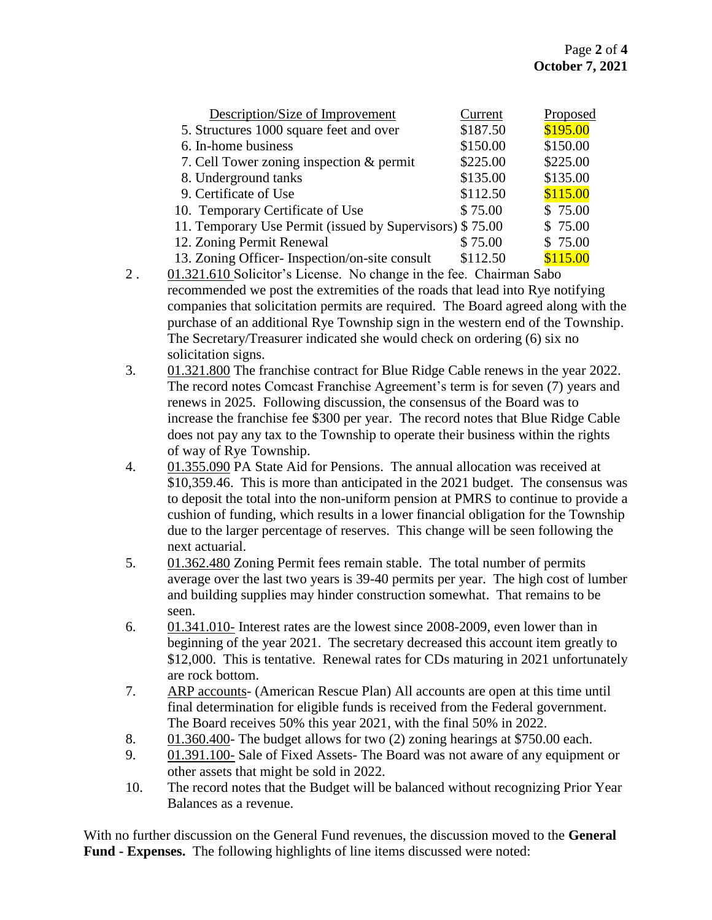| Description/Size of Improvement                          | Current  | Proposed |
|----------------------------------------------------------|----------|----------|
| 5. Structures 1000 square feet and over                  | \$187.50 | \$195.00 |
| 6. In-home business                                      | \$150.00 | \$150.00 |
| 7. Cell Tower zoning inspection & permit                 | \$225.00 | \$225.00 |
| 8. Underground tanks                                     | \$135.00 | \$135.00 |
| 9. Certificate of Use                                    | \$112.50 | \$115.00 |
| 10. Temporary Certificate of Use                         | \$75.00  | \$75.00  |
| 11. Temporary Use Permit (issued by Supervisors) \$75.00 |          | \$75.00  |
| 12. Zoning Permit Renewal                                | \$75.00  | \$75.00  |
| 13. Zoning Officer-Inspection/on-site consult            | \$112.50 | \$115.00 |

- 2 . 01.321.610 Solicitor's License. No change in the fee. Chairman Sabo recommended we post the extremities of the roads that lead into Rye notifying companies that solicitation permits are required. The Board agreed along with the purchase of an additional Rye Township sign in the western end of the Township. The Secretary/Treasurer indicated she would check on ordering (6) six no solicitation signs.
- 3. 01.321.800 The franchise contract for Blue Ridge Cable renews in the year 2022. The record notes Comcast Franchise Agreement's term is for seven (7) years and renews in 2025. Following discussion, the consensus of the Board was to increase the franchise fee \$300 per year. The record notes that Blue Ridge Cable does not pay any tax to the Township to operate their business within the rights of way of Rye Township.
- 4. 01.355.090 PA State Aid for Pensions. The annual allocation was received at \$10,359.46. This is more than anticipated in the 2021 budget. The consensus was to deposit the total into the non-uniform pension at PMRS to continue to provide a cushion of funding, which results in a lower financial obligation for the Township due to the larger percentage of reserves. This change will be seen following the next actuarial.
- 5. 01.362.480 Zoning Permit fees remain stable. The total number of permits average over the last two years is 39-40 permits per year. The high cost of lumber and building supplies may hinder construction somewhat. That remains to be seen.
- 6. 01.341.010- Interest rates are the lowest since 2008-2009, even lower than in beginning of the year 2021. The secretary decreased this account item greatly to \$12,000. This is tentative. Renewal rates for CDs maturing in 2021 unfortunately are rock bottom.
- 7. ARP accounts- (American Rescue Plan) All accounts are open at this time until final determination for eligible funds is received from the Federal government. The Board receives 50% this year 2021, with the final 50% in 2022.
- 8. 01.360.400- The budget allows for two (2) zoning hearings at \$750.00 each.
- 9. 01.391.100- Sale of Fixed Assets- The Board was not aware of any equipment or other assets that might be sold in 2022.
- 10. The record notes that the Budget will be balanced without recognizing Prior Year Balances as a revenue.

With no further discussion on the General Fund revenues, the discussion moved to the **General Fund - Expenses.** The following highlights of line items discussed were noted: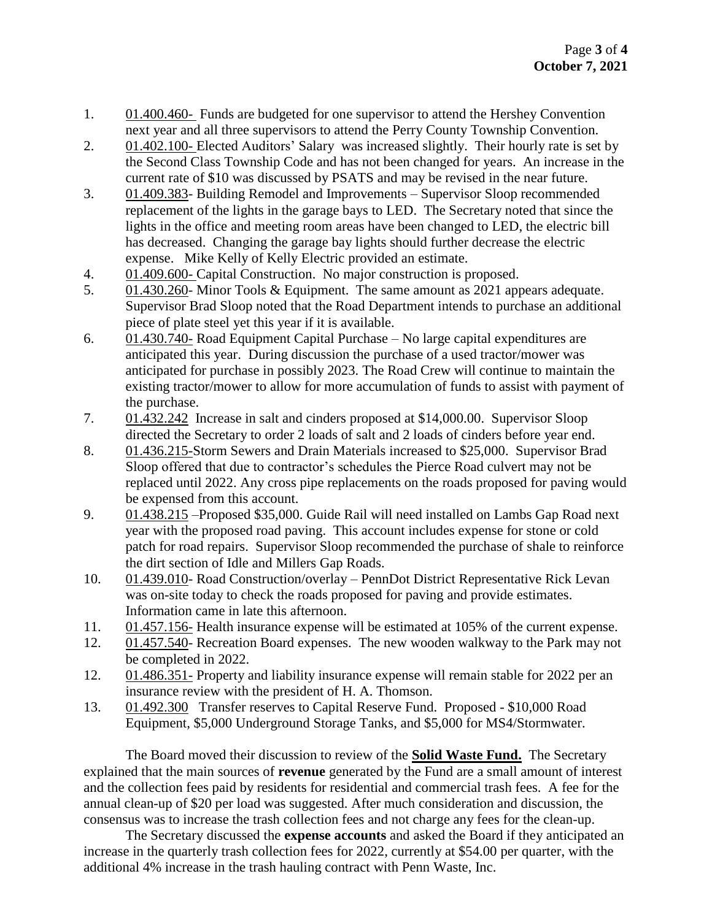- 1. 01.400.460- Funds are budgeted for one supervisor to attend the Hershey Convention next year and all three supervisors to attend the Perry County Township Convention.
- 2. 01.402.100- Elected Auditors' Salary was increased slightly. Their hourly rate is set by the Second Class Township Code and has not been changed for years. An increase in the current rate of \$10 was discussed by PSATS and may be revised in the near future.
- 3. 01.409.383- Building Remodel and Improvements Supervisor Sloop recommended replacement of the lights in the garage bays to LED. The Secretary noted that since the lights in the office and meeting room areas have been changed to LED, the electric bill has decreased. Changing the garage bay lights should further decrease the electric expense. Mike Kelly of Kelly Electric provided an estimate.
- 4. 01.409.600- Capital Construction. No major construction is proposed.
- 5. 01.430.260- Minor Tools & Equipment. The same amount as 2021 appears adequate. Supervisor Brad Sloop noted that the Road Department intends to purchase an additional piece of plate steel yet this year if it is available.
- 6. 01.430.740- Road Equipment Capital Purchase No large capital expenditures are anticipated this year. During discussion the purchase of a used tractor/mower was anticipated for purchase in possibly 2023. The Road Crew will continue to maintain the existing tractor/mower to allow for more accumulation of funds to assist with payment of the purchase.
- 7. 01.432.242 Increase in salt and cinders proposed at \$14,000.00. Supervisor Sloop directed the Secretary to order 2 loads of salt and 2 loads of cinders before year end.
- 8. 01.436.215-Storm Sewers and Drain Materials increased to \$25,000. Supervisor Brad Sloop offered that due to contractor's schedules the Pierce Road culvert may not be replaced until 2022. Any cross pipe replacements on the roads proposed for paving would be expensed from this account.
- 9. 01.438.215 –Proposed \$35,000. Guide Rail will need installed on Lambs Gap Road next year with the proposed road paving. This account includes expense for stone or cold patch for road repairs. Supervisor Sloop recommended the purchase of shale to reinforce the dirt section of Idle and Millers Gap Roads.
- 10. 01.439.010- Road Construction/overlay PennDot District Representative Rick Levan was on-site today to check the roads proposed for paving and provide estimates. Information came in late this afternoon.
- 11. 01.457.156- Health insurance expense will be estimated at 105% of the current expense.
- 12. 01.457.540- Recreation Board expenses. The new wooden walkway to the Park may not be completed in 2022.
- 12. 01.486.351- Property and liability insurance expense will remain stable for 2022 per an insurance review with the president of H. A. Thomson.
- 13. 01.492.300 Transfer reserves to Capital Reserve Fund. Proposed \$10,000 Road Equipment, \$5,000 Underground Storage Tanks, and \$5,000 for MS4/Stormwater.

The Board moved their discussion to review of the **Solid Waste Fund.** The Secretary explained that the main sources of **revenue** generated by the Fund are a small amount of interest and the collection fees paid by residents for residential and commercial trash fees. A fee for the annual clean-up of \$20 per load was suggested. After much consideration and discussion, the consensus was to increase the trash collection fees and not charge any fees for the clean-up.

The Secretary discussed the **expense accounts** and asked the Board if they anticipated an increase in the quarterly trash collection fees for 2022, currently at \$54.00 per quarter, with the additional 4% increase in the trash hauling contract with Penn Waste, Inc.